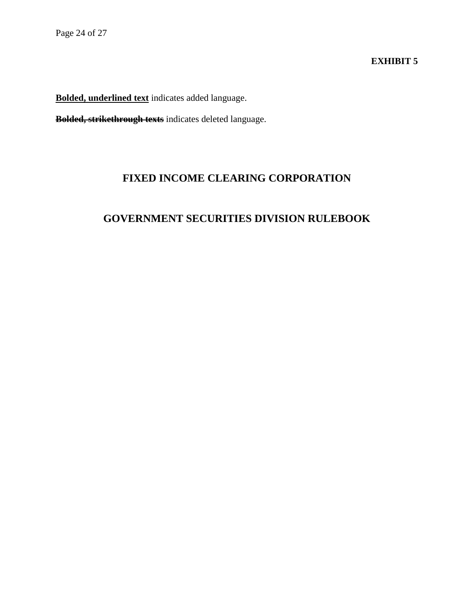### **EXHIBIT 5**

**Bolded, underlined text** indicates added language.

**Bolded, strikethrough texts** indicates deleted language.

## **FIXED INCOME CLEARING CORPORATION**

# **GOVERNMENT SECURITIES DIVISION RULEBOOK**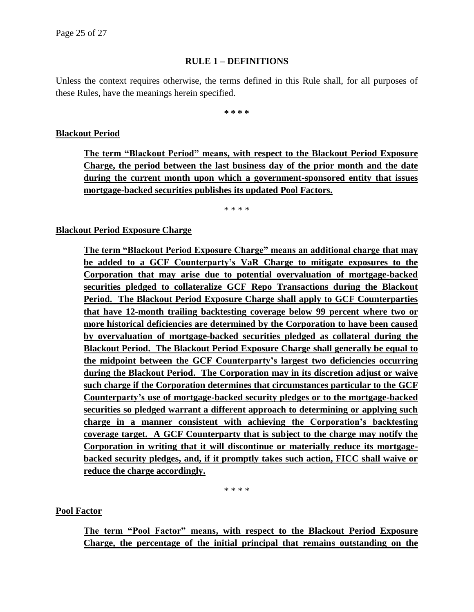#### **RULE 1 – DEFINITIONS**

Unless the context requires otherwise, the terms defined in this Rule shall, for all purposes of these Rules, have the meanings herein specified.

**\* \* \* \***

#### **Blackout Period**

**The term "Blackout Period" means, with respect to the Blackout Period Exposure Charge, the period between the last business day of the prior month and the date during the current month upon which a government-sponsored entity that issues mortgage-backed securities publishes its updated Pool Factors.**

\* \* \* \*

#### **Blackout Period Exposure Charge**

**The term "Blackout Period Exposure Charge" means an additional charge that may be added to a GCF Counterparty's VaR Charge to mitigate exposures to the Corporation that may arise due to potential overvaluation of mortgage-backed securities pledged to collateralize GCF Repo Transactions during the Blackout Period. The Blackout Period Exposure Charge shall apply to GCF Counterparties that have 12-month trailing backtesting coverage below 99 percent where two or more historical deficiencies are determined by the Corporation to have been caused by overvaluation of mortgage-backed securities pledged as collateral during the Blackout Period. The Blackout Period Exposure Charge shall generally be equal to the midpoint between the GCF Counterparty's largest two deficiencies occurring during the Blackout Period. The Corporation may in its discretion adjust or waive such charge if the Corporation determines that circumstances particular to the GCF Counterparty's use of mortgage-backed security pledges or to the mortgage-backed securities so pledged warrant a different approach to determining or applying such charge in a manner consistent with achieving the Corporation's backtesting coverage target. A GCF Counterparty that is subject to the charge may notify the Corporation in writing that it will discontinue or materially reduce its mortgagebacked security pledges, and, if it promptly takes such action, FICC shall waive or reduce the charge accordingly.**

\* \* \* \*

#### **Pool Factor**

**The term "Pool Factor" means, with respect to the Blackout Period Exposure Charge, the percentage of the initial principal that remains outstanding on the**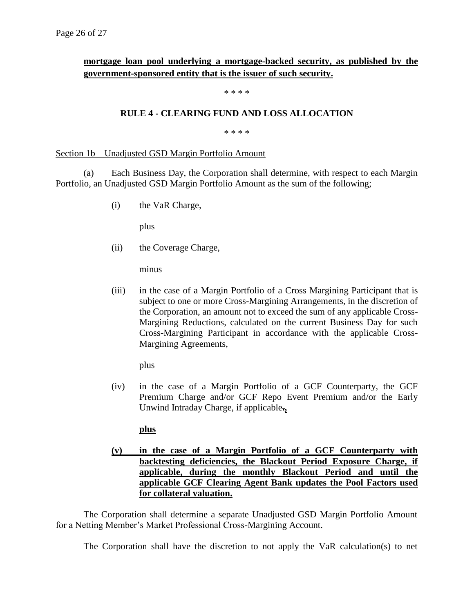### **mortgage loan pool underlying a mortgage-backed security, as published by the government-sponsored entity that is the issuer of such security.**

#### \* \* \* \*

#### **RULE 4 - CLEARING FUND AND LOSS ALLOCATION**

\* \* \* \*

#### Section 1b – Unadjusted GSD Margin Portfolio Amount

(a) Each Business Day, the Corporation shall determine, with respect to each Margin Portfolio, an Unadjusted GSD Margin Portfolio Amount as the sum of the following;

(i) the VaR Charge,

plus

(ii) the Coverage Charge,

minus

(iii) in the case of a Margin Portfolio of a Cross Margining Participant that is subject to one or more Cross-Margining Arrangements, in the discretion of the Corporation, an amount not to exceed the sum of any applicable Cross-Margining Reductions, calculated on the current Business Day for such Cross-Margining Participant in accordance with the applicable Cross-Margining Agreements,

plus

(iv) in the case of a Margin Portfolio of a GCF Counterparty, the GCF Premium Charge and/or GCF Repo Event Premium and/or the Early Unwind Intraday Charge, if applicable**.,**

#### **plus**

**(v) in the case of a Margin Portfolio of a GCF Counterparty with backtesting deficiencies, the Blackout Period Exposure Charge, if applicable, during the monthly Blackout Period and until the applicable GCF Clearing Agent Bank updates the Pool Factors used for collateral valuation.**

The Corporation shall determine a separate Unadjusted GSD Margin Portfolio Amount for a Netting Member's Market Professional Cross-Margining Account.

The Corporation shall have the discretion to not apply the VaR calculation(s) to net